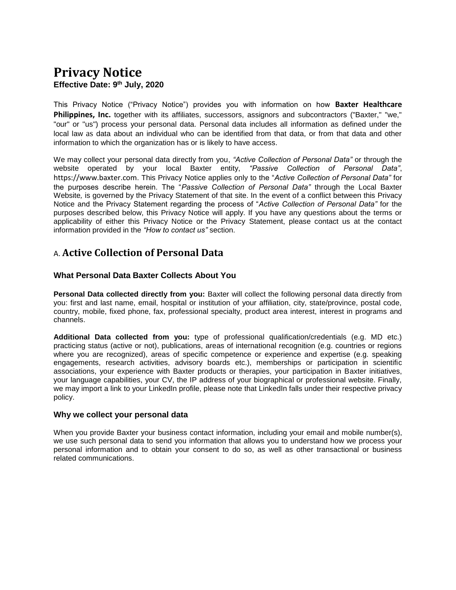# **Privacy Notice Effective Date: 9 th July, 2020**

This Privacy Notice ("Privacy Notice") provides you with information on how **Baxter Healthcare**  Philippines, Inc. together with its affiliates, successors, assignors and subcontractors ("Baxter," "we," "our" or "us") process your personal data. Personal data includes all information as defined under the local law as data about an individual who can be identified from that data, or from that data and other information to which the organization has or is likely to have access.

We may collect your personal data directly from you, *"Active Collection of Personal Data"* or through the website operated by your local Baxter entity, *"Passive Collection of Personal Data"*, https://www.baxter.com. This Privacy Notice applies only to the "*Active Collection of Personal Data"* for the purposes describe herein. The "*Passive Collection of Personal Data"* through the Local Baxter Website*,* is governed by the Privacy Statement of that site. In the event of a conflict between this Privacy Notice and the Privacy Statement regarding the process of "*Active Collection of Personal Data"* for the purposes described below, this Privacy Notice will apply. If you have any questions about the terms or applicability of either this Privacy Notice or the Privacy Statement, please contact us at the contact information provided in the *"How to contact us"* section.

## A. **Active Collection of Personal Data**

## **What Personal Data Baxter Collects About You**

**Personal Data collected directly from you:** Baxter will collect the following personal data directly from you: first and last name, email, hospital or institution of your affiliation, city, state/province, postal code, country, mobile, fixed phone, fax, professional specialty, product area interest, interest in programs and channels.

**Additional Data collected from you:** type of professional qualification/credentials (e.g. MD etc.) practicing status (active or not), publications, areas of international recognition (e.g. countries or regions where you are recognized), areas of specific competence or experience and expertise (e.g. speaking engagements, research activities, advisory boards etc.), memberships or participation in scientific associations, your experience with Baxter products or therapies, your participation in Baxter initiatives, your language capabilities, your CV, the IP address of your biographical or professional website. Finally, we may import a link to your LinkedIn profile, please note that LinkedIn falls under their respective privacy policy.

### **Why we collect your personal data**

When you provide Baxter your business contact information, including your email and mobile number(s), we use such personal data to send you information that allows you to understand how we process your personal information and to obtain your consent to do so, as well as other transactional or business related communications.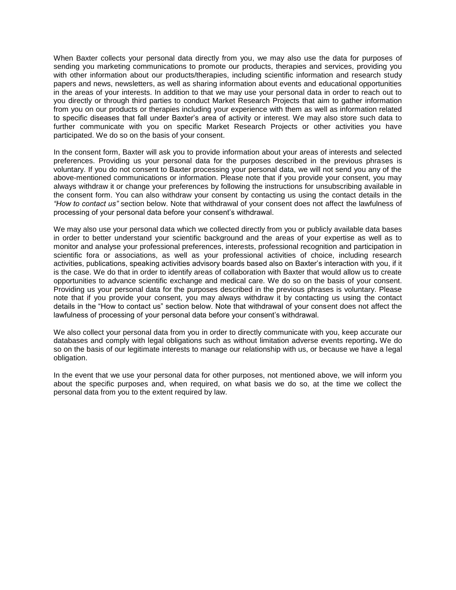When Baxter collects your personal data directly from you, we may also use the data for purposes of sending you marketing communications to promote our products, therapies and services, providing you with other information about our products/therapies, including scientific information and research study papers and news, newsletters, as well as sharing information about events and educational opportunities in the areas of your interests. In addition to that we may use your personal data in order to reach out to you directly or through third parties to conduct Market Research Projects that aim to gather information from you on our products or therapies including your experience with them as well as information related to specific diseases that fall under Baxter's area of activity or interest. We may also store such data to further communicate with you on specific Market Research Projects or other activities you have participated. We do so on the basis of your consent.

In the consent form, Baxter will ask you to provide information about your areas of interests and selected preferences. Providing us your personal data for the purposes described in the previous phrases is voluntary. If you do not consent to Baxter processing your personal data, we will not send you any of the above-mentioned communications or information. Please note that if you provide your consent, you may always withdraw it or change your preferences by following the instructions for unsubscribing available in the consent form. You can also withdraw your consent by contacting us using the contact details in the *"How to contact us"* section below. Note that withdrawal of your consent does not affect the lawfulness of processing of your personal data before your consent's withdrawal.

We may also use your personal data which we collected directly from you or publicly available data bases in order to better understand your scientific background and the areas of your expertise as well as to monitor and analyse your professional preferences, interests, professional recognition and participation in scientific fora or associations, as well as your professional activities of choice, including research activities, publications, speaking activities advisory boards based also on Baxter's interaction with you, if it is the case. We do that in order to identify areas of collaboration with Baxter that would allow us to create opportunities to advance scientific exchange and medical care. We do so on the basis of your consent. Providing us your personal data for the purposes described in the previous phrases is voluntary. Please note that if you provide your consent, you may always withdraw it by contacting us using the contact details in the "How to contact us" section below. Note that withdrawal of your consent does not affect the lawfulness of processing of your personal data before your consent's withdrawal.

We also collect your personal data from you in order to directly communicate with you, keep accurate our databases and comply with legal obligations such as without limitation adverse events reporting**.** We do so on the basis of our legitimate interests to manage our relationship with us, or because we have a legal obligation.

In the event that we use your personal data for other purposes, not mentioned above, we will inform you about the specific purposes and, when required, on what basis we do so, at the time we collect the personal data from you to the extent required by law.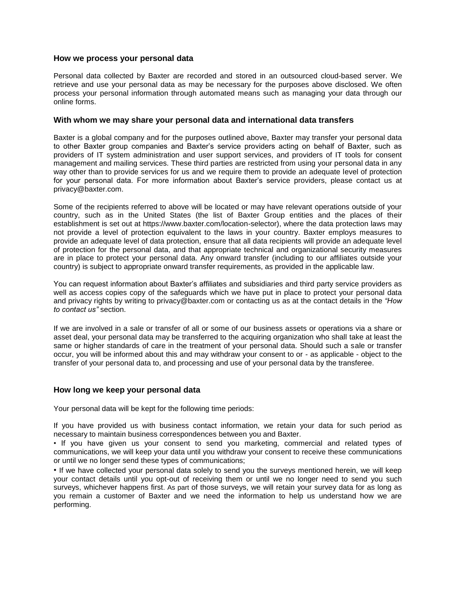### **How we process your personal data**

Personal data collected by Baxter are recorded and stored in an outsourced cloud-based server. We retrieve and use your personal data as may be necessary for the purposes above disclosed. We often process your personal information through automated means such as managing your data through our online forms.

### **With whom we may share your personal data and international data transfers**

Baxter is a global company and for the purposes outlined above, Baxter may transfer your personal data to other Baxter group companies and Baxter's service providers acting on behalf of Baxter, such as providers of IT system administration and user support services, and providers of IT tools for consent management and mailing services. These third parties are restricted from using your personal data in any way other than to provide services for us and we require them to provide an adequate level of protection for your personal data. For more information about Baxter's service providers, please contact us at privacy@baxter.com.

Some of the recipients referred to above will be located or may have relevant operations outside of your country, such as in the United States (the list of Baxter Group entities and the places of their establishment is set out at https://www.baxter.com/location-selector), where the data protection laws may not provide a level of protection equivalent to the laws in your country. Baxter employs measures to provide an adequate level of data protection, ensure that all data recipients will provide an adequate level of protection for the personal data, and that appropriate technical and organizational security measures are in place to protect your personal data. Any onward transfer (including to our affiliates outside your country) is subject to appropriate onward transfer requirements, as provided in the applicable law.

You can request information about Baxter's affiliates and subsidiaries and third party service providers as well as access copies copy of the safeguards which we have put in place to protect your personal data and privacy rights by writing to privacy@baxter.com or contacting us as at the contact details in the *"How to contact us"* section.

If we are involved in a sale or transfer of all or some of our business assets or operations via a share or asset deal, your personal data may be transferred to the acquiring organization who shall take at least the same or higher standards of care in the treatment of your personal data. Should such a sale or transfer occur, you will be informed about this and may withdraw your consent to or - as applicable - object to the transfer of your personal data to, and processing and use of your personal data by the transferee.

### **How long we keep your personal data**

Your personal data will be kept for the following time periods:

If you have provided us with business contact information, we retain your data for such period as necessary to maintain business correspondences between you and Baxter.

• If you have given us your consent to send you marketing, commercial and related types of communications, we will keep your data until you withdraw your consent to receive these communications or until we no longer send these types of communications;

• If we have collected your personal data solely to send you the surveys mentioned herein, we will keep your contact details until you opt-out of receiving them or until we no longer need to send you such surveys, whichever happens first. As part of those surveys, we will retain your survey data for as long as you remain a customer of Baxter and we need the information to help us understand how we are performing.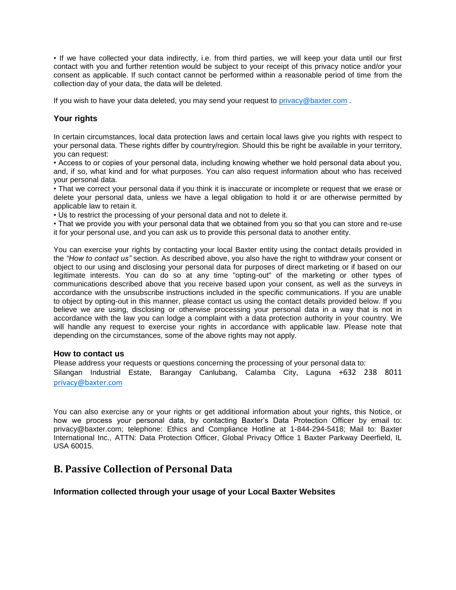• If we have collected your data indirectly, i.e. from third parties, we will keep your data until our first contact with you and further retention would be subject to your receipt of this privacy notice and/or your consent as applicable. If such contact cannot be performed within a reasonable period of time from the collection day of your data, the data will be deleted.

If you wish to have your data deleted, you may send your request to [privacy@baxter.com](mailto:privacy@baxter.com).

## **Your rights**

In certain circumstances, local data protection laws and certain local laws give you rights with respect to your personal data. These rights differ by country/region. Should this be right be available in your territory, you can request:

• Access to or copies of your personal data, including knowing whether we hold personal data about you, and, if so, what kind and for what purposes. You can also request information about who has received your personal data.

• That we correct your personal data if you think it is inaccurate or incomplete or request that we erase or delete your personal data, unless we have a legal obligation to hold it or are otherwise permitted by applicable law to retain it.

• Us to restrict the processing of your personal data and not to delete it.

• That we provide you with your personal data that we obtained from you so that you can store and re-use it for your personal use, and you can ask us to provide this personal data to another entity.

You can exercise your rights by contacting your local Baxter entity using the contact details provided in the *"How to contact us"* section. As described above, you also have the right to withdraw your consent or object to our using and disclosing your personal data for purposes of direct marketing or if based on our legitimate interests. You can do so at any time "opting-out" of the marketing or other types of communications described above that you receive based upon your consent, as well as the surveys in accordance with the unsubscribe instructions included in the specific communications. If you are unable to object by opting-out in this manner, please contact us using the contact details provided below. If you believe we are using, disclosing or otherwise processing your personal data in a way that is not in accordance with the law you can lodge a complaint with a data protection authority in your country. We will handle any request to exercise your rights in accordance with applicable law. Please note that depending on the circumstances, some of the above rights may not apply.

### **How to contact us**

Please address your requests or questions concerning the processing of your personal data to: Silangan Industrial Estate, Barangay Canlubang, Calamba City, Laguna +632 238 8011 [privacy@baxter.com](mailto:privacy@baxter.com)

You can also exercise any or your rights or get additional information about your rights, this Notice, or how we process your personal data, by contacting Baxter's Data Protection Officer by email to: privacy@baxter.com; telephone: Ethics and Compliance Hotline at 1-844-294-5418; Mail to: Baxter International Inc., ATTN: Data Protection Officer, Global Privacy Office 1 Baxter Parkway Deerfield, IL USA 60015.

## **B. Passive Collection of Personal Data**

### **Information collected through your usage of your Local Baxter Websites**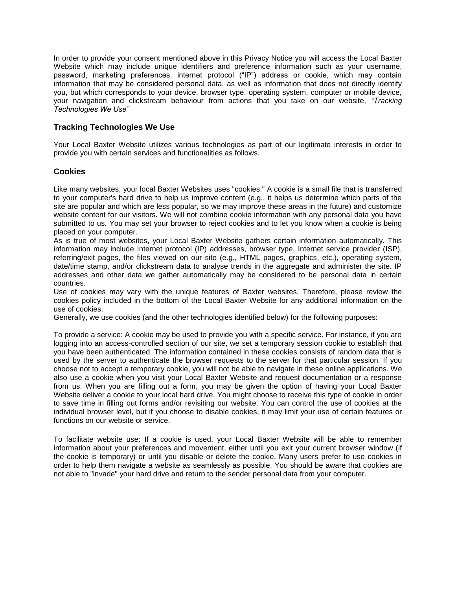In order to provide your consent mentioned above in this Privacy Notice you will access the Local Baxter Website which may include unique identifiers and preference information such as your username, password, marketing preferences, internet protocol ("IP") address or cookie, which may contain information that may be considered personal data, as well as information that does not directly identify you, but which corresponds to your device, browser type, operating system, computer or mobile device, your navigation and clickstream behaviour from actions that you take on our website, *"Tracking Technologies We Use"*

## **Tracking Technologies We Use**

Your Local Baxter Website utilizes various technologies as part of our legitimate interests in order to provide you with certain services and functionalities as follows.

## **Cookies**

Like many websites, your local Baxter Websites uses "cookies." A cookie is a small file that is transferred to your computer's hard drive to help us improve content (e.g., it helps us determine which parts of the site are popular and which are less popular, so we may improve these areas in the future) and customize website content for our visitors. We will not combine cookie information with any personal data you have submitted to us. You may set your browser to reject cookies and to let you know when a cookie is being placed on your computer.

As is true of most websites, your Local Baxter Website gathers certain information automatically. This information may include Internet protocol (IP) addresses, browser type, Internet service provider (ISP), referring/exit pages, the files viewed on our site (e.g., HTML pages, graphics, etc.), operating system, date/time stamp, and/or clickstream data to analyse trends in the aggregate and administer the site. IP addresses and other data we gather automatically may be considered to be personal data in certain countries.

Use of cookies may vary with the unique features of Baxter websites. Therefore, please review the cookies policy included in the bottom of the Local Baxter Website for any additional information on the use of cookies.

Generally, we use cookies (and the other technologies identified below) for the following purposes:

To provide a service: A cookie may be used to provide you with a specific service. For instance, if you are logging into an access-controlled section of our site, we set a temporary session cookie to establish that you have been authenticated. The information contained in these cookies consists of random data that is used by the server to authenticate the browser requests to the server for that particular session. If you choose not to accept a temporary cookie, you will not be able to navigate in these online applications. We also use a cookie when you visit your Local Baxter Website and request documentation or a response from us. When you are filling out a form, you may be given the option of having your Local Baxter Website deliver a cookie to your local hard drive. You might choose to receive this type of cookie in order to save time in filling out forms and/or revisiting our website. You can control the use of cookies at the individual browser level, but if you choose to disable cookies, it may limit your use of certain features or functions on our website or service.

To facilitate website use: If a cookie is used, your Local Baxter Website will be able to remember information about your preferences and movement, either until you exit your current browser window (if the cookie is temporary) or until you disable or delete the cookie. Many users prefer to use cookies in order to help them navigate a website as seamlessly as possible. You should be aware that cookies are not able to "invade" your hard drive and return to the sender personal data from your computer.